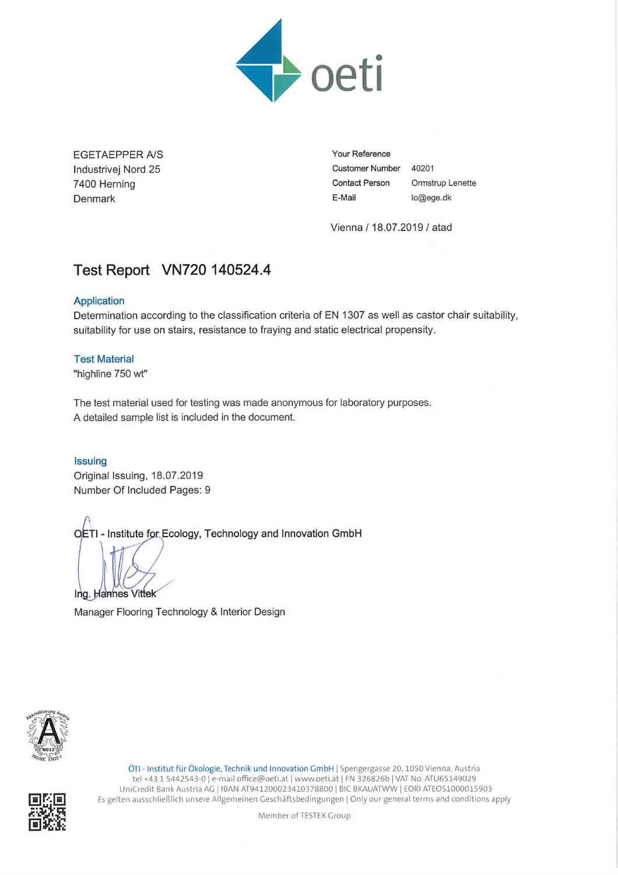

EGETAEPPER A/S lndustrivej Nord 25 7400 Heming Denmark

**Your Reference Customer Number** 40201 **Contact Person** Ormstrup Lenette **E-Mail** lo@ege.dk

Vienna / 18.07.2019/ atad

# **Test Report VN720 140524.4**

# **Application**

Determination according to the classification criteria of EN 1307 as well as castor chair suitability, suitability for use on stairs, resistance to fraying and static electrical propensity.

# **Test Material**

"highline 750 wt"

The test material used for testing was made anonymous for laboratory purposes. A detailed sample list is included in the document.

# **Issuing**

Original Issuing, 18.07.2019 Number Of Included Pages: 9

r- isttute <sup>t</sup> **Ecology, Technology and Innovation GmbH**

Ing. Hannes Vittek

Manager Flooring Technology & Interior Design



ÖTI- Institut für Ökologie, Technik und Innovation GmbH <sup>I</sup> Spengergasse 20, <sup>1050</sup> Vienna, Austria tel +43 1 5442543-0 | e-mail office@oeti.at | www.oeti.at | FN 326826b | VAT No. ATU65149029 UniCredit Bank Austria AG | IBAN AT941200023410378800 | BIC BKAUATWW | EORI ATEOS1000015903 Es gelten ausschließlich unsere Allgemeinen Geschäftsbedingungen <sup>I</sup> Only our general terms and conditions apply

Member of TESTEX Group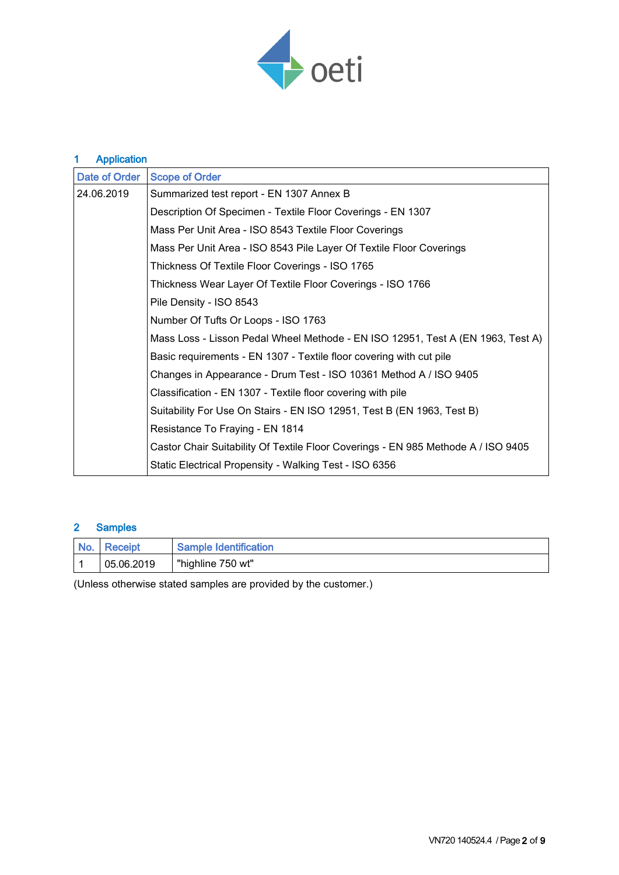

# 1 Application

| Date of Order | <b>Scope of Order</b>                                                             |  |  |
|---------------|-----------------------------------------------------------------------------------|--|--|
| 24.06.2019    | Summarized test report - EN 1307 Annex B                                          |  |  |
|               | Description Of Specimen - Textile Floor Coverings - EN 1307                       |  |  |
|               | Mass Per Unit Area - ISO 8543 Textile Floor Coverings                             |  |  |
|               | Mass Per Unit Area - ISO 8543 Pile Layer Of Textile Floor Coverings               |  |  |
|               | Thickness Of Textile Floor Coverings - ISO 1765                                   |  |  |
|               | Thickness Wear Layer Of Textile Floor Coverings - ISO 1766                        |  |  |
|               | Pile Density - ISO 8543                                                           |  |  |
|               | Number Of Tufts Or Loops - ISO 1763                                               |  |  |
|               | Mass Loss - Lisson Pedal Wheel Methode - EN ISO 12951, Test A (EN 1963, Test A)   |  |  |
|               | Basic requirements - EN 1307 - Textile floor covering with cut pile               |  |  |
|               | Changes in Appearance - Drum Test - ISO 10361 Method A / ISO 9405                 |  |  |
|               | Classification - EN 1307 - Textile floor covering with pile                       |  |  |
|               | Suitability For Use On Stairs - EN ISO 12951, Test B (EN 1963, Test B)            |  |  |
|               | Resistance To Fraying - EN 1814                                                   |  |  |
|               | Castor Chair Suitability Of Textile Floor Coverings - EN 985 Methode A / ISO 9405 |  |  |
|               | Static Electrical Propensity - Walking Test - ISO 6356                            |  |  |

# 2 Samples

| I No. | I Receipt  | <b>Sample Identification</b> |
|-------|------------|------------------------------|
|       | 05.06.2019 | "highline 750 wt"            |

(Unless otherwise stated samples are provided by the customer.)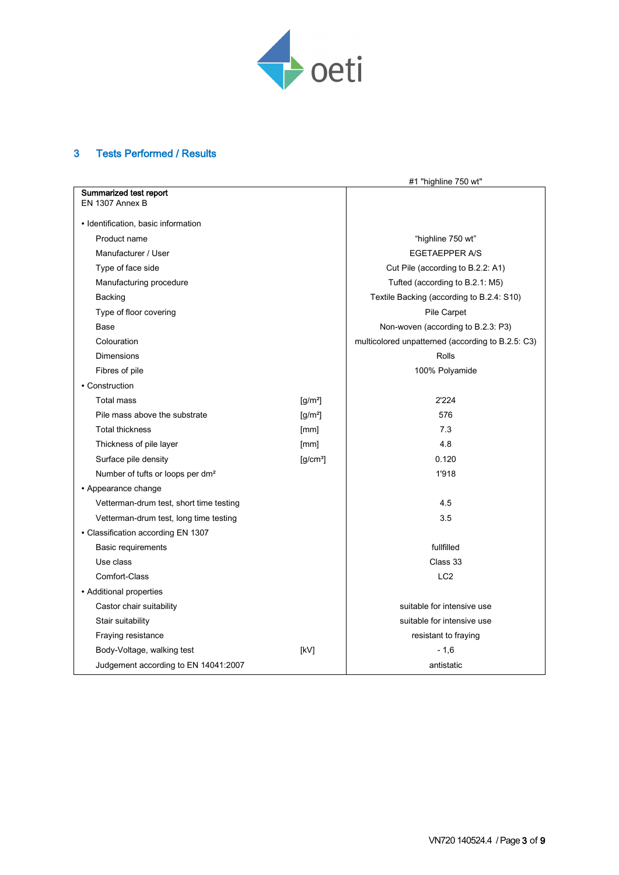

# 3 Tests Performed / Results

|                                              |                              | #1 "highline 750 wt"                              |
|----------------------------------------------|------------------------------|---------------------------------------------------|
| Summarized test report                       |                              |                                                   |
| EN 1307 Annex B                              |                              |                                                   |
| • Identification, basic information          |                              |                                                   |
| Product name                                 | "highline 750 wt"            |                                                   |
| Manufacturer / User                          |                              | <b>EGETAEPPER A/S</b>                             |
| Type of face side                            |                              | Cut Pile (according to B.2.2: A1)                 |
| Manufacturing procedure                      |                              | Tufted (according to B.2.1: M5)                   |
| Backing                                      |                              | Textile Backing (according to B.2.4: S10)         |
| Type of floor covering                       |                              | Pile Carpet                                       |
| Base                                         |                              | Non-woven (according to B.2.3: P3)                |
| Colouration                                  |                              | multicolored unpatterned (according to B.2.5: C3) |
| Dimensions                                   |                              | <b>Rolls</b>                                      |
| Fibres of pile                               |                              | 100% Polyamide                                    |
| • Construction                               |                              |                                                   |
| <b>Total mass</b>                            | $[g/m^2]$                    | 2'224                                             |
| Pile mass above the substrate                | $\left[\frac{q}{m^2}\right]$ | 576                                               |
| <b>Total thickness</b>                       | [mm]                         | 7.3                                               |
| Thickness of pile layer                      | [mm]                         | 4.8                                               |
| Surface pile density                         | $[g/cm^3]$                   | 0.120                                             |
| Number of tufts or loops per dm <sup>2</sup> |                              | 1'918                                             |
| • Appearance change                          |                              |                                                   |
| Vetterman-drum test, short time testing      |                              | 4.5                                               |
| Vetterman-drum test, long time testing       |                              | 3.5                                               |
| • Classification according EN 1307           |                              |                                                   |
| Basic requirements                           |                              | fullfilled                                        |
| Use class                                    |                              | Class 33                                          |
| Comfort-Class                                |                              | LC <sub>2</sub>                                   |
| • Additional properties                      |                              |                                                   |
| Castor chair suitability                     | suitable for intensive use   |                                                   |
| Stair suitability                            |                              | suitable for intensive use                        |
| Fraying resistance                           |                              | resistant to fraying                              |
| Body-Voltage, walking test                   | [kV]                         | - 1,6                                             |
| Judgement according to EN 14041:2007         |                              | antistatic                                        |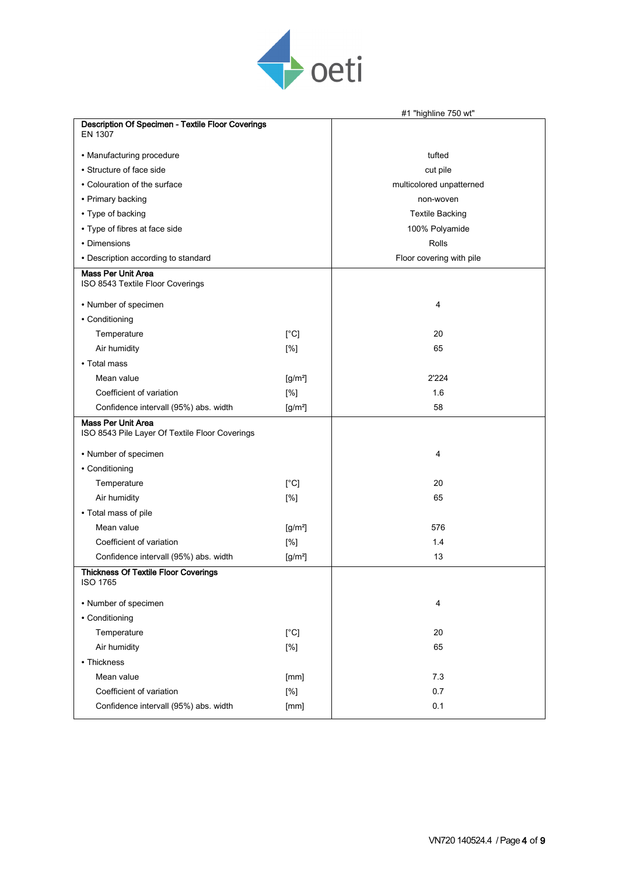

|                                                                             |               | #1 "highline 750 wt"     |
|-----------------------------------------------------------------------------|---------------|--------------------------|
| Description Of Specimen - Textile Floor Coverings<br>EN 1307                |               |                          |
| • Manufacturing procedure                                                   |               | tufted                   |
| • Structure of face side                                                    |               | cut pile                 |
| • Colouration of the surface                                                |               | multicolored unpatterned |
| • Primary backing                                                           |               | non-woven                |
| • Type of backing                                                           |               | <b>Textile Backing</b>   |
| • Type of fibres at face side                                               |               | 100% Polyamide           |
| • Dimensions                                                                |               | Rolls                    |
| • Description according to standard                                         |               | Floor covering with pile |
| <b>Mass Per Unit Area</b><br>ISO 8543 Textile Floor Coverings               |               |                          |
| • Number of specimen                                                        |               | 4                        |
| • Conditioning                                                              |               |                          |
| Temperature                                                                 | $[^{\circ}C]$ | 20                       |
| Air humidity                                                                | [%]           | 65                       |
| • Total mass                                                                |               |                          |
| Mean value                                                                  | $[g/m^2]$     | 2'224                    |
| Coefficient of variation                                                    | [%]           | 1.6                      |
| Confidence intervall (95%) abs. width                                       | $[g/m^2]$     | 58                       |
| <b>Mass Per Unit Area</b><br>ISO 8543 Pile Layer Of Textile Floor Coverings |               |                          |
| • Number of specimen                                                        |               | 4                        |
| • Conditioning                                                              |               |                          |
| Temperature                                                                 | $[^{\circ}C]$ | 20                       |
| Air humidity                                                                | [%]           | 65                       |
| • Total mass of pile                                                        |               |                          |
| Mean value                                                                  | $[g/m^2]$     | 576                      |
| Coefficient of variation                                                    | [%]           | 1.4                      |
| Confidence intervall (95%) abs. width                                       | $[g/m^2]$     | 13                       |
| Thickness Of Textile Floor Coverings<br><b>ISO 1765</b>                     |               |                          |
| • Number of specimen                                                        | 4             |                          |
| • Conditioning                                                              |               |                          |
| Temperature                                                                 | 20            |                          |
| Air humidity                                                                | 65            |                          |
| • Thickness                                                                 |               |                          |
| Mean value                                                                  | [mm]          | 7.3                      |
| Coefficient of variation                                                    | [%]           | 0.7                      |
| Confidence intervall (95%) abs. width                                       | [mm]          | 0.1                      |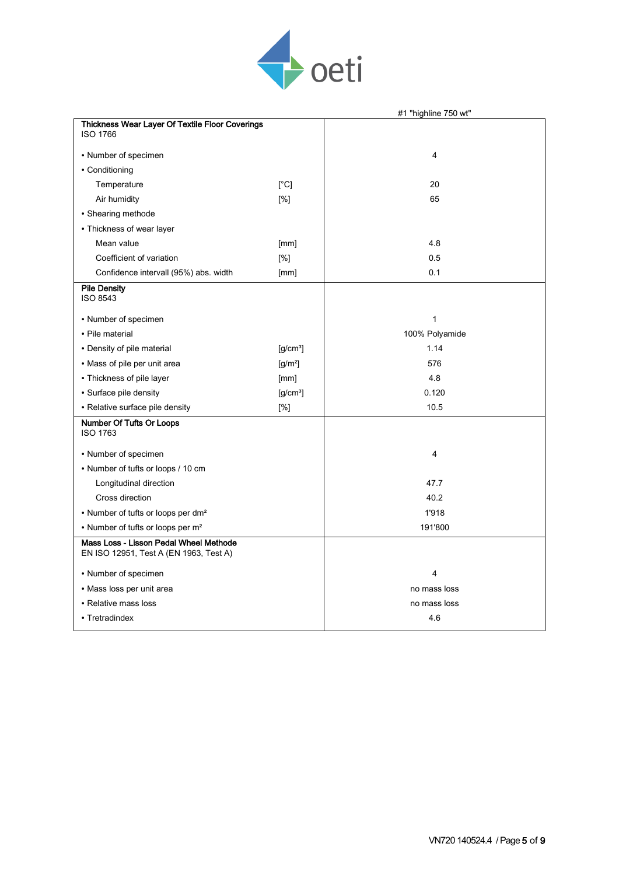

|                                                                                  |            | #1 "highline 750 wt" |
|----------------------------------------------------------------------------------|------------|----------------------|
| Thickness Wear Layer Of Textile Floor Coverings<br><b>ISO 1766</b>               |            |                      |
| • Number of specimen                                                             |            | $\overline{4}$       |
| • Conditioning                                                                   |            |                      |
| Temperature                                                                      | [°C]       | 20                   |
| Air humidity                                                                     | [%]        | 65                   |
| • Shearing methode                                                               |            |                      |
| • Thickness of wear layer                                                        |            |                      |
| Mean value                                                                       | [mm]       | 4.8                  |
| Coefficient of variation                                                         | [%]        | 0.5                  |
| Confidence intervall (95%) abs. width                                            | [mm]       | 0.1                  |
| <b>Pile Density</b><br><b>ISO 8543</b>                                           |            |                      |
| • Number of specimen                                                             |            | 1                    |
| • Pile material                                                                  |            | 100% Polyamide       |
| • Density of pile material                                                       | $[g/cm^3]$ | 1.14                 |
| • Mass of pile per unit area                                                     | $[g/m^2]$  | 576                  |
| • Thickness of pile layer                                                        | [mm]       | 4.8                  |
| • Surface pile density                                                           | $[g/cm^3]$ | 0.120                |
| • Relative surface pile density                                                  | [%]        | 10.5                 |
| Number Of Tufts Or Loops<br><b>ISO 1763</b>                                      |            |                      |
| • Number of specimen                                                             |            | $\overline{4}$       |
| • Number of tufts or loops / 10 cm                                               |            |                      |
| Longitudinal direction                                                           |            | 47.7                 |
| Cross direction                                                                  |            | 40.2                 |
| • Number of tufts or loops per dm <sup>2</sup>                                   |            | 1'918                |
| • Number of tufts or loops per m <sup>2</sup>                                    |            | 191'800              |
| Mass Loss - Lisson Pedal Wheel Methode<br>EN ISO 12951, Test A (EN 1963, Test A) |            |                      |
| • Number of specimen                                                             |            | $\overline{4}$       |
| • Mass loss per unit area                                                        |            | no mass loss         |
| • Relative mass loss                                                             |            | no mass loss         |
| • Tretradindex                                                                   |            | 4.6                  |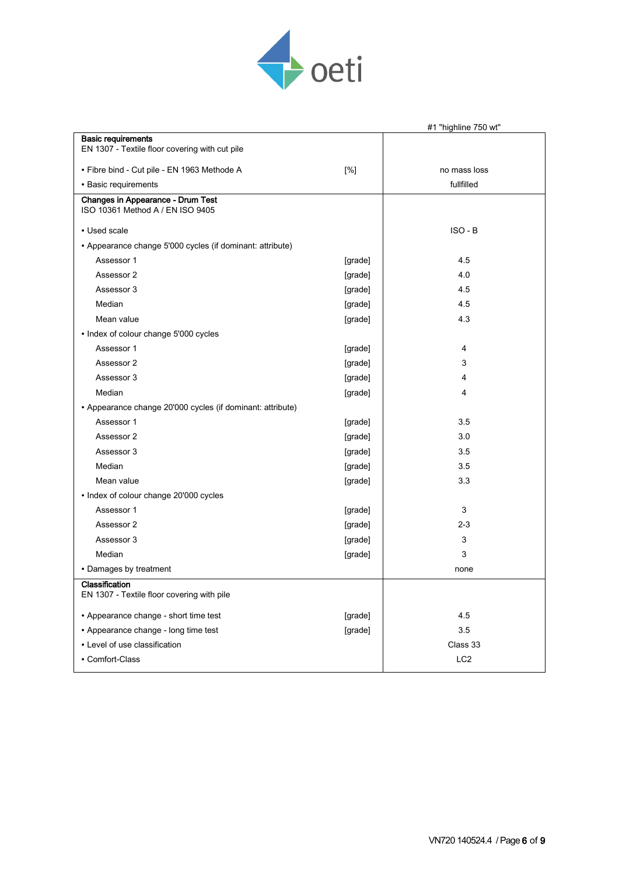

|                                                                       |         | #1 "highline 750 wt" |
|-----------------------------------------------------------------------|---------|----------------------|
| <b>Basic requirements</b>                                             |         |                      |
| EN 1307 - Textile floor covering with cut pile                        |         |                      |
| • Fibre bind - Cut pile - EN 1963 Methode A                           | [%]     | no mass loss         |
| • Basic requirements                                                  |         | fullfilled           |
| Changes in Appearance - Drum Test<br>ISO 10361 Method A / EN ISO 9405 |         |                      |
| • Used scale                                                          |         | ISO - B              |
| • Appearance change 5'000 cycles (if dominant: attribute)             |         |                      |
| Assessor 1                                                            | [grade] | 4.5                  |
| Assessor 2                                                            | [grade] | 4.0                  |
| Assessor 3                                                            | [grade] | 4.5                  |
| Median                                                                | [grade] | 4.5                  |
| Mean value                                                            | [grade] | 4.3                  |
| • Index of colour change 5'000 cycles                                 |         |                      |
| Assessor 1                                                            | [grade] | 4                    |
| Assessor 2                                                            | [grade] | 3                    |
| Assessor 3                                                            | [grade] | 4                    |
| Median                                                                | [grade] | 4                    |
| • Appearance change 20'000 cycles (if dominant: attribute)            |         |                      |
| Assessor 1                                                            | [grade] | 3.5                  |
| Assessor 2                                                            | [grade] | 3.0                  |
| Assessor 3                                                            | [grade] | 3.5                  |
| Median                                                                | [grade] | 3.5                  |
| Mean value                                                            | [grade] | 3.3                  |
| • Index of colour change 20'000 cycles                                |         |                      |
| Assessor 1                                                            | [grade] | 3                    |
| Assessor 2                                                            | [grade] | $2 - 3$              |
| Assessor 3                                                            | [grade] | 3                    |
| Median                                                                | [grade] | 3                    |
| • Damages by treatment                                                |         | none                 |
| Classification<br>EN 1307 - Textile floor covering with pile          |         |                      |
| • Appearance change - short time test                                 | [grade] | 4.5                  |
| • Appearance change - long time test                                  | [grade] | 3.5                  |
| • Level of use classification                                         |         | Class 33             |
| • Comfort-Class                                                       |         | LC <sub>2</sub>      |
|                                                                       |         |                      |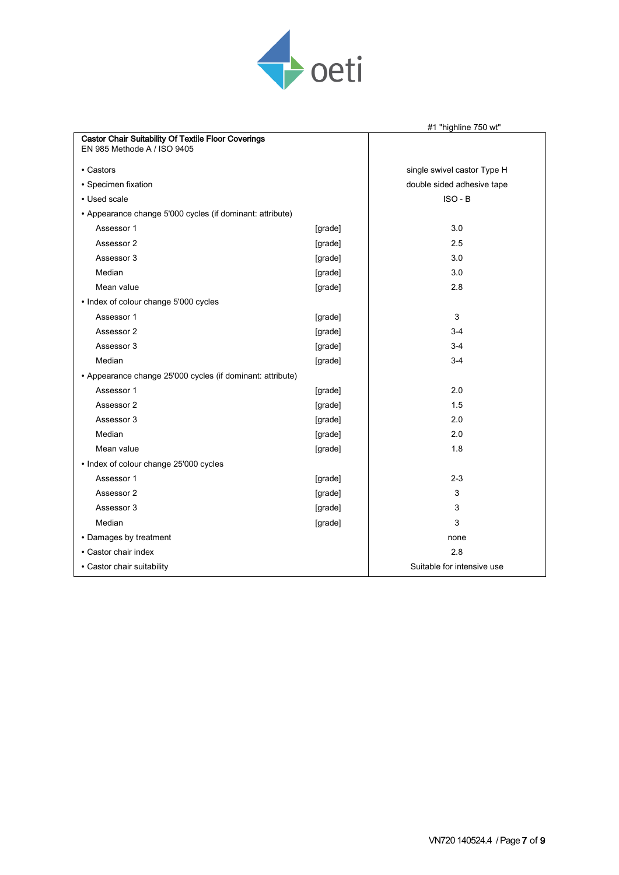

|                                                                                    |                             | #1 "highline 750 wt"       |
|------------------------------------------------------------------------------------|-----------------------------|----------------------------|
| Castor Chair Suitability Of Textile Floor Coverings<br>EN 985 Methode A / ISO 9405 |                             |                            |
| • Castors                                                                          | single swivel castor Type H |                            |
| · Specimen fixation                                                                |                             | double sided adhesive tape |
| • Used scale                                                                       |                             | $ISO-B$                    |
| • Appearance change 5'000 cycles (if dominant: attribute)                          |                             |                            |
| Assessor 1                                                                         | [grade]                     | 3.0                        |
| Assessor 2                                                                         | [grade]                     | 2.5                        |
| Assessor 3                                                                         | [grade]                     | 3.0                        |
| Median                                                                             | [grade]                     | 3.0                        |
| Mean value                                                                         | [grade]                     | 2.8                        |
| • Index of colour change 5'000 cycles                                              |                             |                            |
| Assessor 1                                                                         | [grade]                     | 3                          |
| Assessor 2                                                                         | [grade]                     | $3 - 4$                    |
| Assessor 3                                                                         | [grade]                     | $3-4$                      |
| Median                                                                             | [grade]                     | $3-4$                      |
| • Appearance change 25'000 cycles (if dominant: attribute)                         |                             |                            |
| Assessor 1                                                                         | [grade]                     | 2.0                        |
| Assessor 2                                                                         | [grade]                     | 1.5                        |
| Assessor 3                                                                         | [grade]                     | 2.0                        |
| Median                                                                             | [grade]                     | 2.0                        |
| Mean value                                                                         | [grade]                     | 1.8                        |
| • Index of colour change 25'000 cycles                                             |                             |                            |
| Assessor 1                                                                         | [grade]                     | $2 - 3$                    |
| Assessor 2                                                                         | [grade]                     | 3                          |
| Assessor 3                                                                         | [grade]                     | 3                          |
| Median                                                                             | [grade]                     | 3                          |
| • Damages by treatment                                                             | none                        |                            |
| • Castor chair index                                                               | 2.8                         |                            |
| • Castor chair suitability                                                         | Suitable for intensive use  |                            |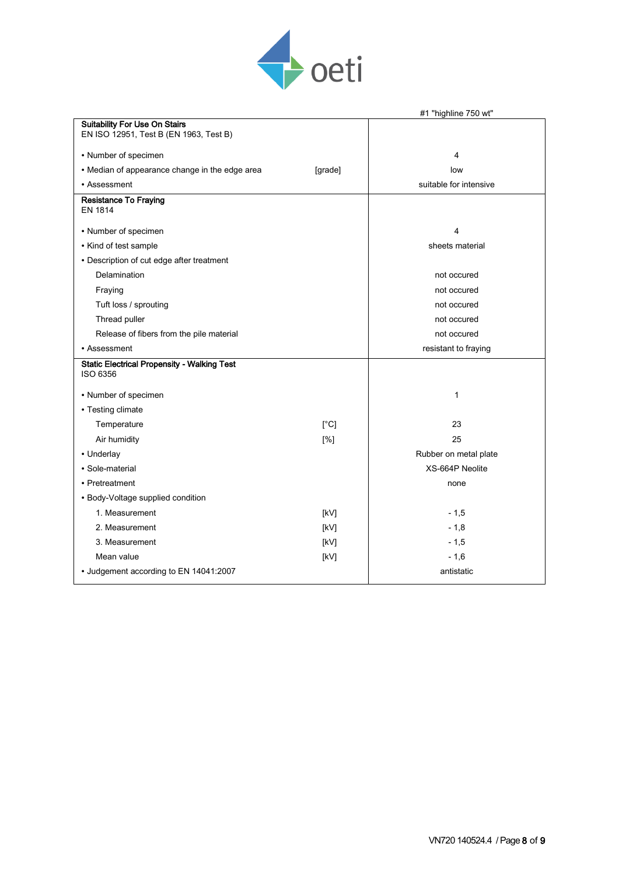

|                                                                                |                 | #1 "highline 750 wt"   |
|--------------------------------------------------------------------------------|-----------------|------------------------|
| <b>Suitability For Use On Stairs</b><br>EN ISO 12951, Test B (EN 1963, Test B) |                 |                        |
| • Number of specimen                                                           |                 | 4                      |
| • Median of appearance change in the edge area                                 | [grade]         | low                    |
| • Assessment                                                                   |                 | suitable for intensive |
| <b>Resistance To Fraying</b><br><b>EN 1814</b>                                 |                 |                        |
| • Number of specimen                                                           |                 | 4                      |
| • Kind of test sample                                                          |                 | sheets material        |
| • Description of cut edge after treatment                                      |                 |                        |
| Delamination                                                                   |                 | not occured            |
| Fraying                                                                        |                 | not occured            |
| Tuft loss / sprouting                                                          |                 | not occured            |
| Thread puller                                                                  |                 | not occured            |
| Release of fibers from the pile material                                       |                 | not occured            |
| • Assessment                                                                   |                 | resistant to fraying   |
| <b>Static Electrical Propensity - Walking Test</b><br>ISO 6356                 |                 |                        |
| • Number of specimen                                                           |                 | 1                      |
| • Testing climate                                                              |                 |                        |
| Temperature                                                                    | [°C]            | 23                     |
| Air humidity                                                                   | [%]             | 25                     |
| • Underlay                                                                     |                 | Rubber on metal plate  |
| • Sole-material                                                                | XS-664P Neolite |                        |
| • Pretreatment                                                                 | none            |                        |
| • Body-Voltage supplied condition                                              |                 |                        |
| 1. Measurement                                                                 | [kV]            | $-1,5$                 |
| 2. Measurement                                                                 | [kV]            | $-1,8$                 |
| 3. Measurement                                                                 | [kV]            | $-1,5$                 |
| Mean value                                                                     | [kV]            | $-1,6$                 |
| • Judgement according to EN 14041:2007                                         |                 | antistatic             |